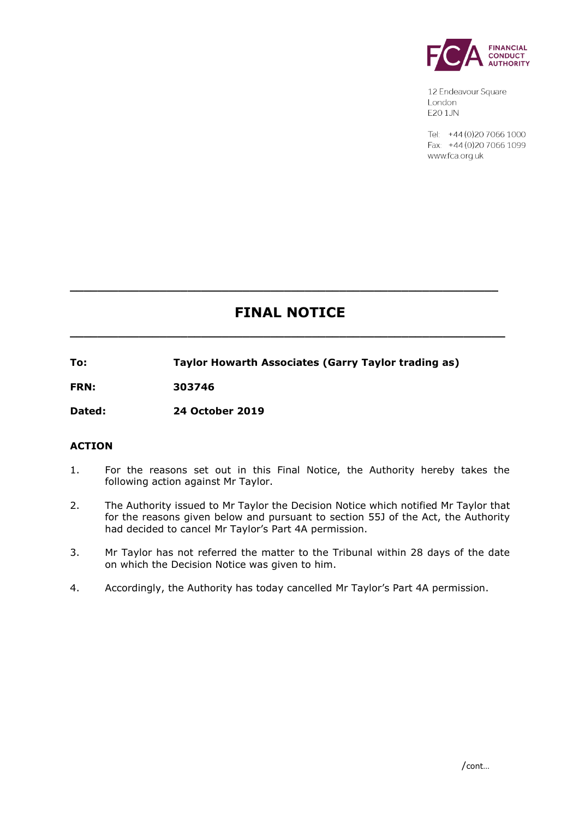

12 Endeavour Square London E201JN

Tel: +44 (0) 20 7066 1000 Fax: +44 (0) 20 7066 1099 www.fca.org.uk

# **FINAL NOTICE**

**\_\_\_\_\_\_\_\_\_\_\_\_\_\_\_\_\_\_\_\_\_\_\_\_\_\_\_\_\_\_\_\_\_\_\_\_\_\_\_\_\_\_\_\_\_\_\_\_\_\_\_\_\_\_\_\_\_\_\_\_\_\_\_**

**\_\_\_\_\_\_\_\_\_\_\_\_\_\_\_\_\_\_\_\_\_\_\_\_\_\_\_\_\_\_\_\_\_\_\_\_\_\_\_\_\_\_\_\_\_\_\_\_\_\_\_\_\_\_\_\_\_\_\_\_\_\_**

**To: Taylor Howarth Associates (Garry Taylor trading as)**

**FRN: 303746**

**Dated: 24 October 2019**

## **ACTION**

- 1. For the reasons set out in this Final Notice, the Authority hereby takes the following action against Mr Taylor.
- 2. The Authority issued to Mr Taylor the Decision Notice which notified Mr Taylor that for the reasons given below and pursuant to section 55J of the Act, the Authority had decided to cancel Mr Taylor's Part 4A permission.
- 3. Mr Taylor has not referred the matter to the Tribunal within 28 days of the date on which the Decision Notice was given to him.
- 4. Accordingly, the Authority has today cancelled Mr Taylor's Part 4A permission.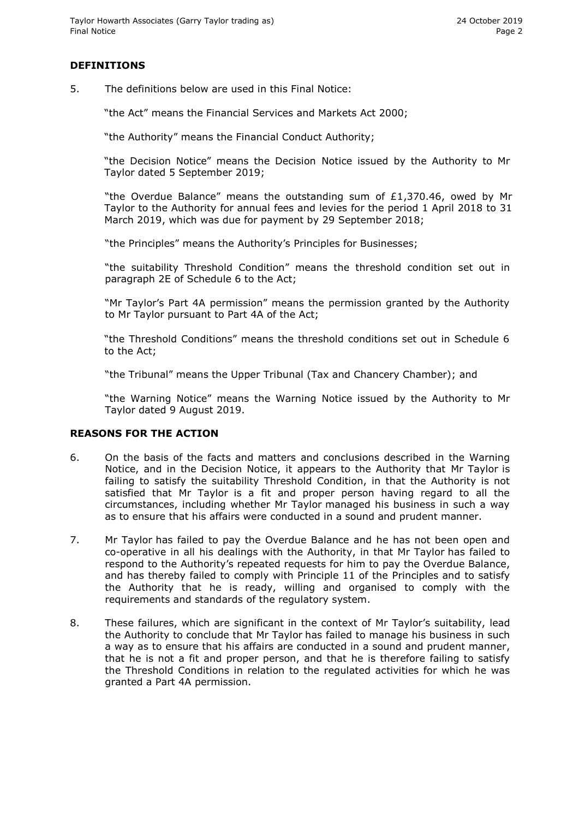### **DEFINITIONS**

5. The definitions below are used in this Final Notice:

"the Act" means the Financial Services and Markets Act 2000;

"the Authority" means the Financial Conduct Authority;

"the Decision Notice" means the Decision Notice issued by the Authority to Mr Taylor dated 5 September 2019;

"the Overdue Balance" means the outstanding sum of £1,370.46, owed by Mr Taylor to the Authority for annual fees and levies for the period 1 April 2018 to 31 March 2019, which was due for payment by 29 September 2018;

"the Principles" means the Authority's Principles for Businesses;

"the suitability Threshold Condition" means the threshold condition set out in paragraph 2E of Schedule 6 to the Act;

"Mr Taylor's Part 4A permission" means the permission granted by the Authority to Mr Taylor pursuant to Part 4A of the Act;

"the Threshold Conditions" means the threshold conditions set out in Schedule 6 to the Act;

"the Tribunal" means the Upper Tribunal (Tax and Chancery Chamber); and

"the Warning Notice" means the Warning Notice issued by the Authority to Mr Taylor dated 9 August 2019.

#### **REASONS FOR THE ACTION**

- 6. On the basis of the facts and matters and conclusions described in the Warning Notice, and in the Decision Notice, it appears to the Authority that Mr Taylor is failing to satisfy the suitability Threshold Condition, in that the Authority is not satisfied that Mr Taylor is a fit and proper person having regard to all the circumstances, including whether Mr Taylor managed his business in such a way as to ensure that his affairs were conducted in a sound and prudent manner.
- 7. Mr Taylor has failed to pay the Overdue Balance and he has not been open and co-operative in all his dealings with the Authority, in that Mr Taylor has failed to respond to the Authority's repeated requests for him to pay the Overdue Balance, and has thereby failed to comply with Principle 11 of the Principles and to satisfy the Authority that he is ready, willing and organised to comply with the requirements and standards of the regulatory system.
- 8. These failures, which are significant in the context of Mr Taylor's suitability, lead the Authority to conclude that Mr Taylor has failed to manage his business in such a way as to ensure that his affairs are conducted in a sound and prudent manner, that he is not a fit and proper person, and that he is therefore failing to satisfy the Threshold Conditions in relation to the regulated activities for which he was granted a Part 4A permission.